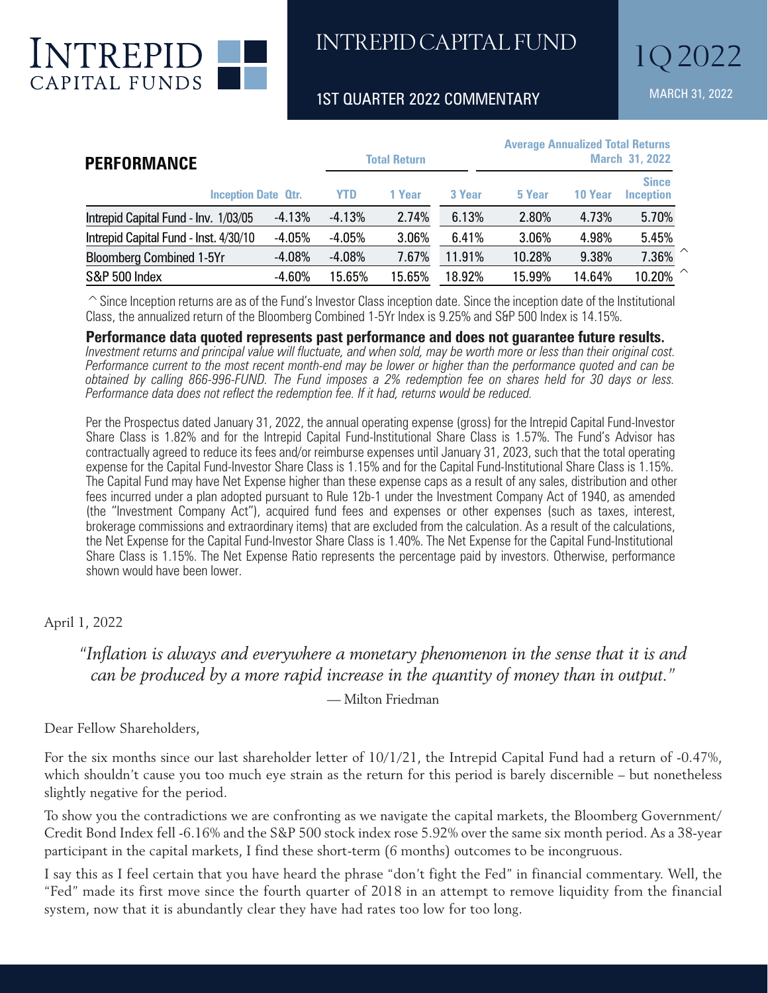

INTREPID CAPITAL FUND

1ST QUARTER 2022 COMMENTARY MARCH 31, 2022

| <b>PERFORMANCE</b><br><b>Inception Date Qtr.</b> |          | <b>Total Return</b> |        |        | <b>Average Annualized Total Returns</b><br><b>March 31, 2022</b> |         |                                  |  |
|--------------------------------------------------|----------|---------------------|--------|--------|------------------------------------------------------------------|---------|----------------------------------|--|
|                                                  |          | <b>YTD</b>          | 1 Year | 3 Year | 5 Year                                                           | 10 Year | <b>Since</b><br><b>Inception</b> |  |
| Intrepid Capital Fund - Inv. 1/03/05             | $-4.13%$ | $-4.13%$            | 2.74%  | 6.13%  | 2.80%                                                            | 4.73%   | 5.70%                            |  |
| Intrepid Capital Fund - Inst. 4/30/10            | $-4.05%$ | $-4.05%$            | 3.06%  | 6.41%  | 3.06%                                                            | 4.98%   | 5.45%                            |  |
| <b>Bloomberg Combined 1-5Yr</b>                  | $-4.08%$ | $-4.08%$            | 7.67%  | 11.91% | 10.28%                                                           | 9.38%   | $\sim$<br>7.36%                  |  |
| S&P 500 Index                                    | $-4.60%$ | 15.65%              | 15.65% | 18.92% | 15.99%                                                           | 14.64%  | $\curvearrowright$<br>10.20%     |  |

 $\hat{\ }$  Since Inception returns are as of the Fund's Investor Class inception date. Since the inception date of the Institutional Class, the annualized return of the Bloomberg Combined 1-5Yr Index is 9.25% and S&P 500 Index is 14.15%.

**Performance data quoted represents past performance and does not guarantee future results.**

*Investment returns and principal value will fluctuate, and when sold, may be worth more or less than their original cost. Performance current to the most recent month-end may be lower or higher than the performance quoted and can be obtained by calling 866-996-FUND. The Fund imposes a 2% redemption fee on shares held for 30 days or less. Performance data does not reflect the redemption fee. If it had, returns would be reduced.*

Per the Prospectus dated January 31, 2022, the annual operating expense (gross) for the Intrepid Capital Fund-Investor Share Class is 1.82% and for the Intrepid Capital Fund-Institutional Share Class is 1.57%. The Fund's Advisor has contractually agreed to reduce its fees and/or reimburse expenses until January 31, 2023, such that the total operating expense for the Capital Fund-Investor Share Class is 1.15% and for the Capital Fund-Institutional Share Class is 1.15%. The Capital Fund may have Net Expense higher than these expense caps as a result of any sales, distribution and other fees incurred under a plan adopted pursuant to Rule 12b-1 under the Investment Company Act of 1940, as amended (the "Investment Company Act"), acquired fund fees and expenses or other expenses (such as taxes, interest, brokerage commissions and extraordinary items) that are excluded from the calculation. As a result of the calculations, the Net Expense for the Capital Fund-Investor Share Class is 1.40%. The Net Expense for the Capital Fund-Institutional Share Class is 1.15%. The Net Expense Ratio represents the percentage paid by investors. Otherwise, performance shown would have been lower.

## April 1, 2022

## *"Inflation is always and everywhere a monetary phenomenon in the sense that it is and can be produced by a more rapid increase in the quantity of money than in output."*

— Milton Friedman

Dear Fellow Shareholders,

For the six months since our last shareholder letter of 10/1/21, the Intrepid Capital Fund had a return of -0.47%, which shouldn't cause you too much eye strain as the return for this period is barely discernible – but nonetheless slightly negative for the period.

To show you the contradictions we are confronting as we navigate the capital markets, the Bloomberg Government/ Credit Bond Index fell -6.16% and the S&P 500 stock index rose 5.92% over the same six month period. As a 38-year participant in the capital markets, I find these short-term (6 months) outcomes to be incongruous.

I say this as I feel certain that you have heard the phrase "don't fight the Fed" in financial commentary. Well, the "Fed" made its first move since the fourth quarter of 2018 in an attempt to remove liquidity from the financial system, now that it is abundantly clear they have had rates too low for too long.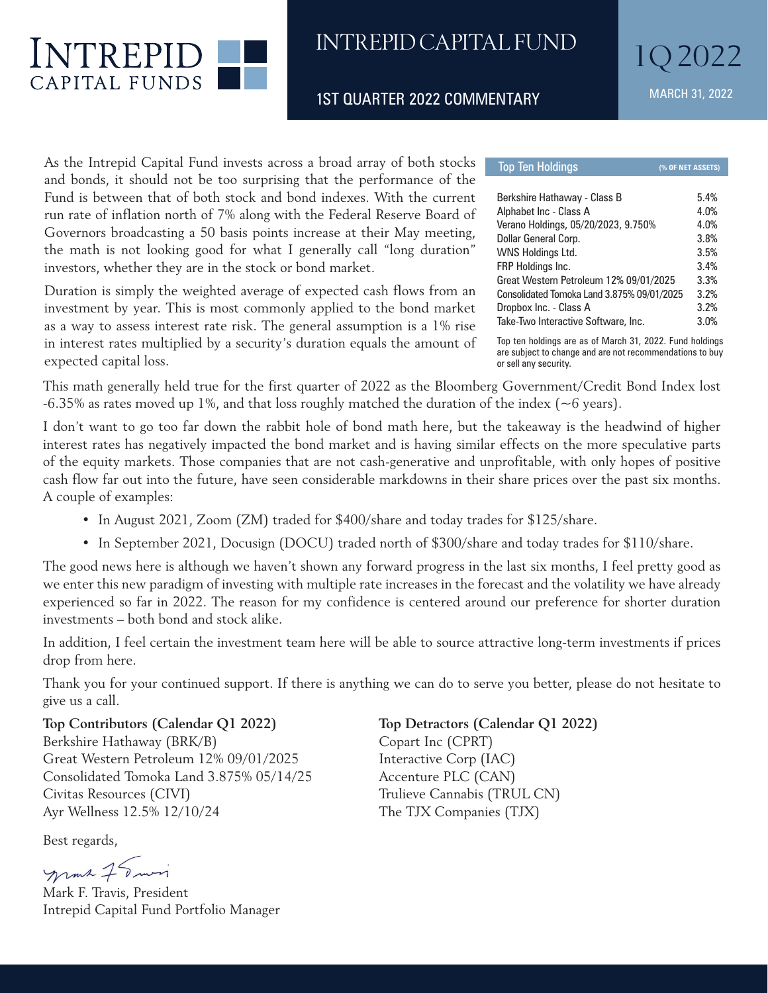

## INTREPID CAPITAL FUND

1ST QUARTER 2022 COMMENTARY MARCH 31, 2022

As the Intrepid Capital Fund invests across a broad array of both stocks and bonds, it should not be too surprising that the performance of the Fund is between that of both stock and bond indexes. With the current run rate of inflation north of 7% along with the Federal Reserve Board of Governors broadcasting a 50 basis points increase at their May meeting, the math is not looking good for what I generally call "long duration" investors, whether they are in the stock or bond market.

Duration is simply the weighted average of expected cash flows from an investment by year. This is most commonly applied to the bond market as a way to assess interest rate risk. The general assumption is a 1% rise in interest rates multiplied by a security's duration equals the amount of expected capital loss.

**Top Ten Holdings (% OF NET ASSETS)** Berkshire Hathaway - Class B 5.4% Alphabet Inc - Class A 4.0% Verano Holdings, 05/20/2023, 9.750% 4.0% Dollar General Corp. 3.8% WNS Holdings Ltd. 3.5% FRP Holdings Inc. 3.4% Great Western Petroleum 12% 09/01/2025 3.3% Consolidated Tomoka Land 3.875% 09/01/2025 3.2% Dropbox Inc. - Class A 3.2% Take-Two Interactive Software, Inc. 3.0%

Top ten holdings are as of March 31, 2022. Fund holdings are subject to change and are not recommendations to buy or sell any security.

This math generally held true for the first quarter of 2022 as the Bloomberg Government/Credit Bond Index lost  $-6.35\%$  as rates moved up 1%, and that loss roughly matched the duration of the index ( $\sim$ 6 years).

I don't want to go too far down the rabbit hole of bond math here, but the takeaway is the headwind of higher interest rates has negatively impacted the bond market and is having similar effects on the more speculative parts of the equity markets. Those companies that are not cash-generative and unprofitable, with only hopes of positive cash flow far out into the future, have seen considerable markdowns in their share prices over the past six months. A couple of examples:

- In August 2021, Zoom (ZM) traded for \$400/share and today trades for \$125/share.
- In September 2021, Docusign (DOCU) traded north of \$300/share and today trades for \$110/share.

The good news here is although we haven't shown any forward progress in the last six months, I feel pretty good as we enter this new paradigm of investing with multiple rate increases in the forecast and the volatility we have already experienced so far in 2022. The reason for my confidence is centered around our preference for shorter duration investments – both bond and stock alike.

In addition, I feel certain the investment team here will be able to source attractive long-term investments if prices drop from here.

Thank you for your continued support. If there is anything we can do to serve you better, please do not hesitate to give us a call.

**Top Contributors (Calendar Q1 2022) Top Detractors (Calendar Q1 2022)** Berkshire Hathaway (BRK/B) Copart Inc (CPRT) Great Western Petroleum 12% 09/01/2025 Interactive Corp (IAC) Consolidated Tomoka Land 3.875% 05/14/25 Accenture PLC (CAN) Civitas Resources (CIVI) Trulieve Cannabis (TRUL CN) Ayr Wellness 12.5% 12/10/24 The TJX Companies (TJX)

Best regards,

momt 75 min

Mark F. Travis, President Intrepid Capital Fund Portfolio Manager